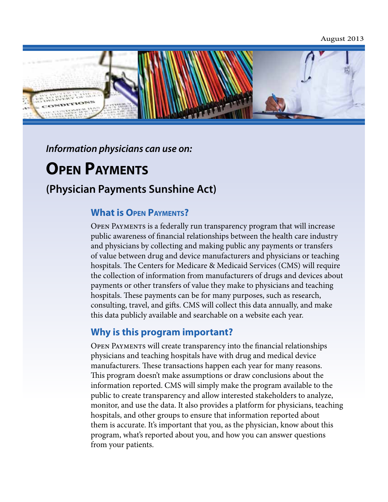August 2013



*Information physicians can use on:* 

# **Open Payments**

## **(Physician Payments Sunshine Act)**

#### **What is Open Payments?**

Open Payments is a federally run transparency program that will increase public awareness of financial relationships between the health care industry and physicians by collecting and making public any payments or transfers of value between drug and device manufacturers and physicians or teaching hospitals. The Centers for Medicare & Medicaid Services (CMS) will require the collection of information from manufacturers of drugs and devices about payments or other transfers of value they make to physicians and teaching hospitals. These payments can be for many purposes, such as research, consulting, travel, and gifts. CMS will collect this data annually, and make this data publicly available and searchable on a website each year.

#### **Why is this program important?**

Open Payments will create transparency into the financial relationships physicians and teaching hospitals have with drug and medical device manufacturers. These transactions happen each year for many reasons. This program doesn't make assumptions or draw conclusions about the information reported. CMS will simply make the program available to the public to create transparency and allow interested stakeholders to analyze, monitor, and use the data. It also provides a platform for physicians, teaching hospitals, and other groups to ensure that information reported about them is accurate. It's important that you, as the physician, know about this program, what's reported about you, and how you can answer questions from your patients.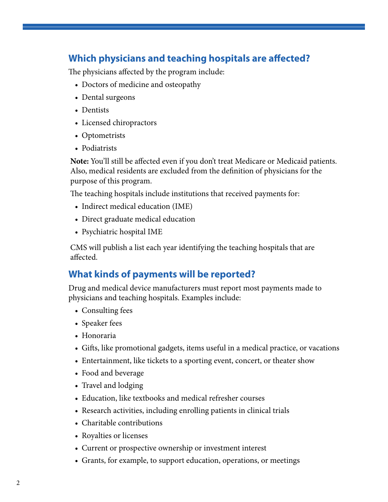## **Which physicians and teaching hospitals are affected?**

The physicians affected by the program include:

- Doctors of medicine and osteopathy
- Dental surgeons
- Dentists
- Licensed chiropractors
- Optometrists
- Podiatrists

**Note:** You'll still be affected even if you don't treat Medicare or Medicaid patients. Also, medical residents are excluded from the definition of physicians for the purpose of this program.

The teaching hospitals include institutions that received payments for:

- Indirect medical education (IME)
- Direct graduate medical education
- Psychiatric hospital IME

CMS will publish a list each year identifying the teaching hospitals that are affected.

#### **What kinds of payments will be reported?**

Drug and medical device manufacturers must report most payments made to physicians and teaching hospitals. Examples include:

- Consulting fees
- Speaker fees
- Honoraria
- Gifts, like promotional gadgets, items useful in a medical practice, or vacations
- Entertainment, like tickets to a sporting event, concert, or theater show
- Food and beverage
- Travel and lodging
- Education, like textbooks and medical refresher courses
- Research activities, including enrolling patients in clinical trials
- Charitable contributions
- Royalties or licenses
- Current or prospective ownership or investment interest
- Grants, for example, to support education, operations, or meetings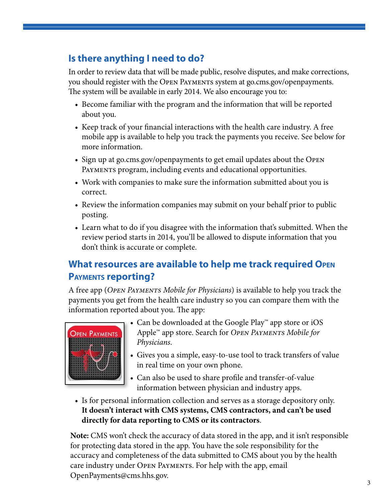## **Is there anything I need to do?**

In order to review data that will be made public, resolve disputes, and make corrections, you should register with the Open Payments system at go.cms.gov/openpayments. The system will be available in early 2014. We also encourage you to:

- Become familiar with the program and the information that will be reported about you.
- Keep track of your financial interactions with the health care industry. A free mobile app is available to help you track the payments you receive. See below for more information.
- Sign up at go.cms.gov/openpayments to get email updates about the OPEN PAYMENTS program, including events and educational opportunities.
- Work with companies to make sure the information submitted about you is correct.
- Review the information companies may submit on your behalf prior to public posting.
- Learn what to do if you disagree with the information that's submitted. When the review period starts in 2014, you'll be allowed to dispute information that you don't think is accurate or complete.

## **What resources are available to help me track required Open Payments reporting?**

A free app (*Open Payments Mobile for Physicians*) is available to help you track the payments you get from the health care industry so you can compare them with the information reported about you. The app:



- Can be downloaded at the Google Play™ app store or iOS Apple™ app store. Search for *Open Payments Mobile for Physicians*.
- • Gives you a simple, easy-to-use tool to track transfers of value in real time on your own phone.
- Can also be used to share profile and transfer-of-value information between physician and industry apps.
- Is for personal information collection and serves as a storage depository only. **It doesn't interact with CMS systems, CMS contractors, and can't be used directly for data reporting to CMS or its contractors**.

**Note:** CMS won't check the accuracy of data stored in the app, and it isn't responsible for protecting data stored in the app. You have the sole responsibility for the accuracy and completeness of the data submitted to CMS about you by the health care industry under OPEN PAYMENTS. For help with the app, email [OpenPayments@cms.hhs.gov.](mailto:OpenPayments@cms.hhs.gov)